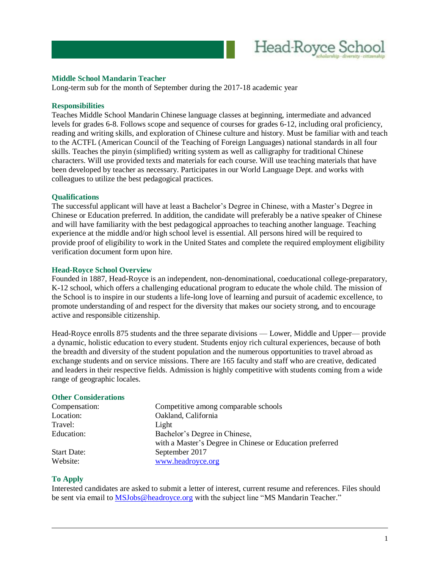

## **Middle School Mandarin Teacher**

Long-term sub for the month of September during the 2017-18 academic year

#### **Responsibilities**

Teaches Middle School Mandarin Chinese language classes at beginning, intermediate and advanced levels for grades 6-8. Follows scope and sequence of courses for grades 6-12, including oral proficiency, reading and writing skills, and exploration of Chinese culture and history. Must be familiar with and teach to the ACTFL (American Council of the Teaching of Foreign Languages) national standards in all four skills. Teaches the pinyin (simplified) writing system as well as calligraphy for traditional Chinese characters. Will use provided texts and materials for each course. Will use teaching materials that have been developed by teacher as necessary. Participates in our World Language Dept. and works with colleagues to utilize the best pedagogical practices.

### **Qualifications**

The successful applicant will have at least a Bachelor's Degree in Chinese, with a Master's Degree in Chinese or Education preferred. In addition, the candidate will preferably be a native speaker of Chinese and will have familiarity with the best pedagogical approaches to teaching another language. Teaching experience at the middle and/or high school level is essential. All persons hired will be required to provide proof of eligibility to work in the United States and complete the required employment eligibility verification document form upon hire.

#### **Head-Royce School Overview**

Founded in 1887, Head-Royce is an independent, non-denominational, coeducational college-preparatory, K-12 school, which offers a challenging educational program to educate the whole child. The mission of the School is to inspire in our students a life-long love of learning and pursuit of academic excellence, to promote understanding of and respect for the diversity that makes our society strong, and to encourage active and responsible citizenship.

Head-Royce enrolls 875 students and the three separate divisions — Lower, Middle and Upper— provide a dynamic, holistic education to every student. Students enjoy rich cultural experiences, because of both the breadth and diversity of the student population and the numerous opportunities to travel abroad as exchange students and on service missions. There are 165 faculty and staff who are creative, dedicated and leaders in their respective fields. Admission is highly competitive with students coming from a wide range of geographic locales.

#### **Other Considerations**

| Compensation:      | Competitive among comparable schools                     |
|--------------------|----------------------------------------------------------|
| Location:          | Oakland, California                                      |
| Travel:            | Light                                                    |
| Education:         | Bachelor's Degree in Chinese,                            |
|                    | with a Master's Degree in Chinese or Education preferred |
| <b>Start Date:</b> | September 2017                                           |
| Website:           | www.headroyce.org                                        |
|                    |                                                          |

# **To Apply**

Interested candidates are asked to submit a letter of interest, current resume and references. Files should be sent via email to [MSJobs@headroyce.org](mailto:MSJobs@headroyce.org) with the subject line "MS Mandarin Teacher."